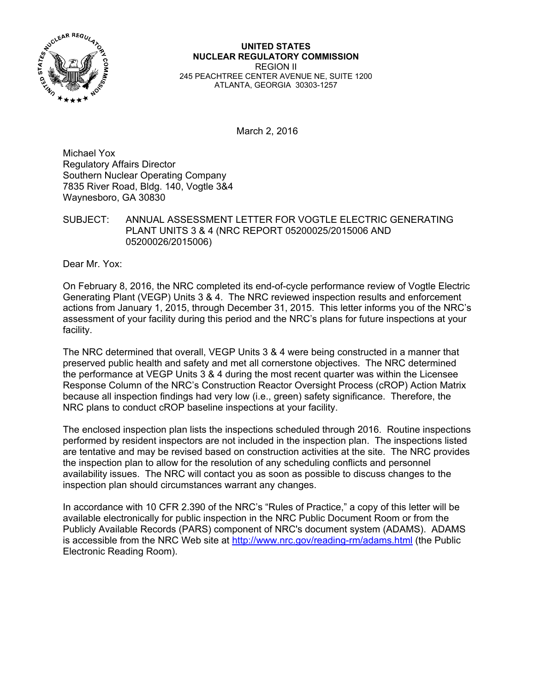

**UNITED STATES NUCLEAR REGULATORY COMMISSION**  REGION II 245 PEACHTREE CENTER AVENUE NE, SUITE 1200 ATLANTA, GEORGIA 30303-1257

March 2, 2016

Michael Yox Regulatory Affairs Director Southern Nuclear Operating Company 7835 River Road, Bldg. 140, Vogtle 3&4 Waynesboro, GA 30830

SUBJECT: ANNUAL ASSESSMENT LETTER FOR VOGTLE ELECTRIC GENERATING PLANT UNITS 3 & 4 (NRC REPORT 05200025/2015006 AND 05200026/2015006)

Dear Mr. Yox:

On February 8, 2016, the NRC completed its end-of-cycle performance review of Vogtle Electric Generating Plant (VEGP) Units 3 & 4. The NRC reviewed inspection results and enforcement actions from January 1, 2015, through December 31, 2015. This letter informs you of the NRC's assessment of your facility during this period and the NRC's plans for future inspections at your facility.

The NRC determined that overall, VEGP Units 3 & 4 were being constructed in a manner that preserved public health and safety and met all cornerstone objectives. The NRC determined the performance at VEGP Units 3 & 4 during the most recent quarter was within the Licensee Response Column of the NRC's Construction Reactor Oversight Process (cROP) Action Matrix because all inspection findings had very low (i.e., green) safety significance. Therefore, the NRC plans to conduct cROP baseline inspections at your facility.

The enclosed inspection plan lists the inspections scheduled through 2016. Routine inspections performed by resident inspectors are not included in the inspection plan. The inspections listed are tentative and may be revised based on construction activities at the site. The NRC provides the inspection plan to allow for the resolution of any scheduling conflicts and personnel availability issues. The NRC will contact you as soon as possible to discuss changes to the inspection plan should circumstances warrant any changes.

In accordance with 10 CFR 2.390 of the NRC's "Rules of Practice," a copy of this letter will be available electronically for public inspection in the NRC Public Document Room or from the Publicly Available Records (PARS) component of NRC's document system (ADAMS). ADAMS is accessible from the NRC Web site at http://www.nrc.gov/reading-rm/adams.html (the Public Electronic Reading Room).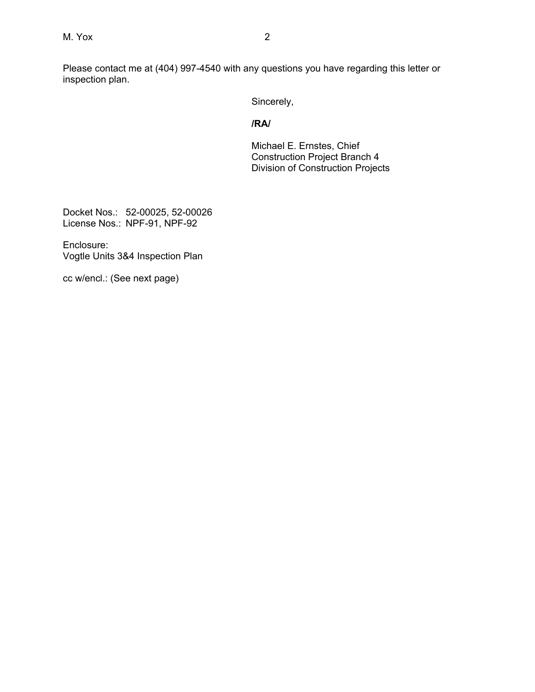Please contact me at (404) 997-4540 with any questions you have regarding this letter or inspection plan.

Sincerely,

### **/RA/**

Michael E. Ernstes, Chief Construction Project Branch 4 Division of Construction Projects

Docket Nos.: 52-00025, 52-00026 License Nos.: NPF-91, NPF-92

Enclosure: Vogtle Units 3&4 Inspection Plan

cc w/encl.: (See next page)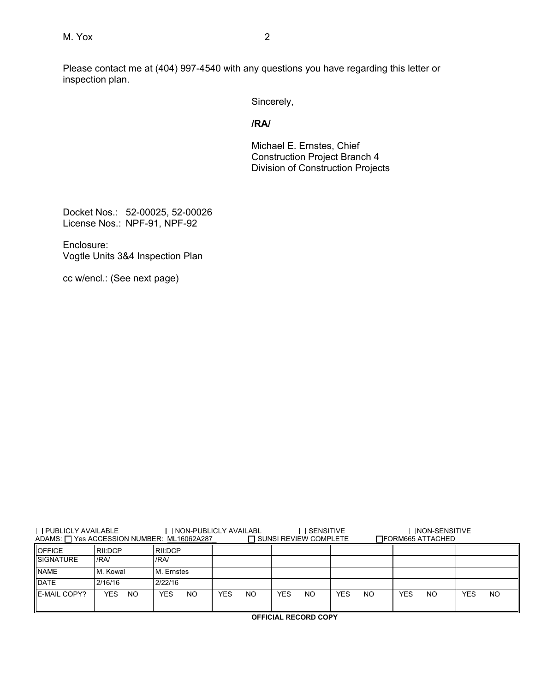Please contact me at (404) 997-4540 with any questions you have regarding this letter or inspection plan.

Sincerely,

## **/RA/**

Michael E. Ernstes, Chief Construction Project Branch 4 Division of Construction Projects

Docket Nos.: 52-00025, 52-00026 License Nos.: NPF-91, NPF-92

Enclosure: Vogtle Units 3&4 Inspection Plan

cc w/encl.: (See next page)

| $\Box$ PUBLICLY AVAILABLE<br>ADAMS: □ Yes ACCESSION NUMBER: ML16062A287 |             |                              | $\Box$ NON-PUBLICLY AVAILABL | $\sqcap$ SENSITIVE<br>$\Box$ SUNSI REVIEW COMPLETE |                  | $\Box$ NON-SENSITIVE<br>□FORM665 ATTACHED |                  |
|-------------------------------------------------------------------------|-------------|------------------------------|------------------------------|----------------------------------------------------|------------------|-------------------------------------------|------------------|
| <b>IOFFICE</b>                                                          | RII:DCP     | RII:DCP                      |                              |                                                    |                  |                                           |                  |
| <b>ISIGNATURE</b>                                                       | /RA/        | /RA/                         |                              |                                                    |                  |                                           |                  |
| <b>NAME</b>                                                             | M. Kowal    | M. Ernstes                   |                              |                                                    |                  |                                           |                  |
| <b>DATE</b>                                                             | 2/16/16     | 2/22/16                      |                              |                                                    |                  |                                           |                  |
| <b>IE-MAIL COPY?</b>                                                    | YES.<br>NO. | N <sub>O</sub><br><b>YES</b> | <b>YES</b><br>N <sub>O</sub> | N <sub>O</sub><br>YES                              | YES<br><b>NO</b> | <b>YES</b><br>NO                          | <b>NO</b><br>YES |

 **OFFICIAL RECORD COPY**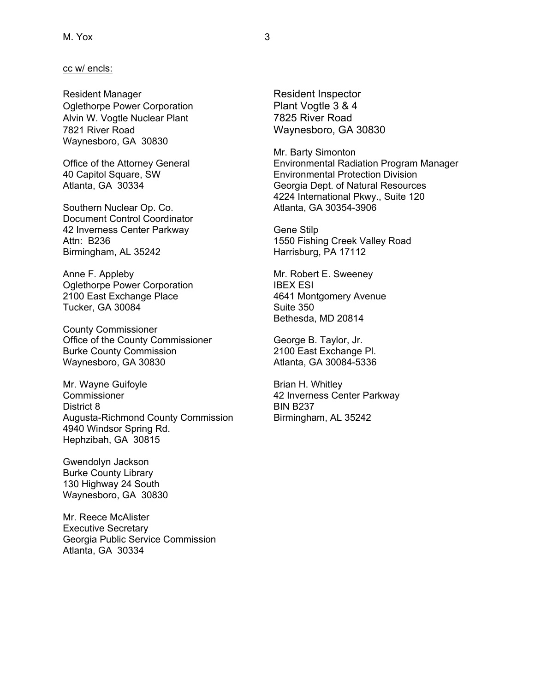#### cc w/ encls:

Resident Manager **Resident Inspector** Oglethorpe Power Corporation Plant Vogtle 3 & 4 Alvin W. Vogtle Nuclear Plant 7825 River Road 7821 River Road Waynesboro, GA 30830 Waynesboro, GA 30830

Southern Nuclear Op. Co. Atlanta, GA 30354-3906 Document Control Coordinator 42 Inverness Center Parkway Gene Stilp Birmingham, AL 35242 Harrisburg, PA 17112

Anne F. Appleby **Mr. Robert E. Sweeney** Oglethorpe Power Corporation **IBEX ESI** 2100 East Exchange Place 4641 Montgomery Avenue Tucker, GA 30084 Suite 350

County Commissioner Office of the County Commissioner George B. Taylor, Jr. Burke County Commission 2100 East Exchange Pl. Waynesboro, GA 30830 Atlanta, GA 30084-5336

Mr. Wayne Guifoyle **Brian H. Whitley** Commissioner 42 Inverness Center Parkway District 8 BIN B237 Augusta-Richmond County Commission Birmingham, AL 35242 4940 Windsor Spring Rd. Hephzibah, GA 30815

Gwendolyn Jackson Burke County Library 130 Highway 24 South Waynesboro, GA 30830

Mr. Reece McAlister Executive Secretary Georgia Public Service Commission Atlanta, GA 30334

 Mr. Barty Simonton Office of the Attorney General Environmental Radiation Program Manager 40 Capitol Square, SW Environmental Protection Division Atlanta, GA 30334 Georgia Dept. of Natural Resources 4224 International Pkwy., Suite 120

Attn: B236 **1550 Fishing Creek Valley Road** 

Bethesda, MD 20814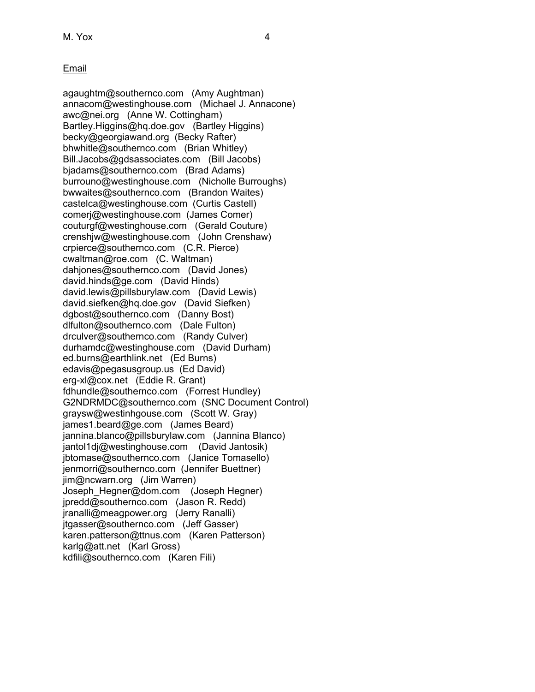## Email

agaughtm@southernco.com (Amy Aughtman) annacom@westinghouse.com (Michael J. Annacone) awc@nei.org (Anne W. Cottingham) Bartley.Higgins@hq.doe.gov (Bartley Higgins) becky@georgiawand.org (Becky Rafter) bhwhitle@southernco.com (Brian Whitley) Bill.Jacobs@gdsassociates.com (Bill Jacobs) bjadams@southernco.com (Brad Adams) burrouno@westinghouse.com (Nicholle Burroughs) bwwaites@southernco.com (Brandon Waites) castelca@westinghouse.com (Curtis Castell) comerj@westinghouse.com (James Comer) couturgf@westinghouse.com (Gerald Couture) crenshjw@westinghouse.com (John Crenshaw) crpierce@southernco.com (C.R. Pierce) cwaltman@roe.com (C. Waltman) dahjones@southernco.com (David Jones) david.hinds@ge.com (David Hinds) david.lewis@pillsburylaw.com (David Lewis) david.siefken@hq.doe.gov (David Siefken) dgbost@southernco.com (Danny Bost) dlfulton@southernco.com (Dale Fulton) drculver@southernco.com (Randy Culver) durhamdc@westinghouse.com (David Durham) ed.burns@earthlink.net (Ed Burns) edavis@pegasusgroup.us (Ed David) erg-xl@cox.net (Eddie R. Grant) fdhundle@southernco.com (Forrest Hundley) G2NDRMDC@southernco.com (SNC Document Control) graysw@westinhgouse.com (Scott W. Gray) james1.beard@ge.com (James Beard) jannina.blanco@pillsburylaw.com (Jannina Blanco) jantol1dj@westinghouse.com (David Jantosik) jbtomase@southernco.com (Janice Tomasello) jenmorri@southernco.com (Jennifer Buettner) jim@ncwarn.org (Jim Warren) Joseph\_Hegner@dom.com (Joseph Hegner) jpredd@southernco.com (Jason R. Redd) jranalli@meagpower.org (Jerry Ranalli) jtgasser@southernco.com (Jeff Gasser) karen.patterson@ttnus.com (Karen Patterson) karlg@att.net (Karl Gross) kdfili@southernco.com (Karen Fili)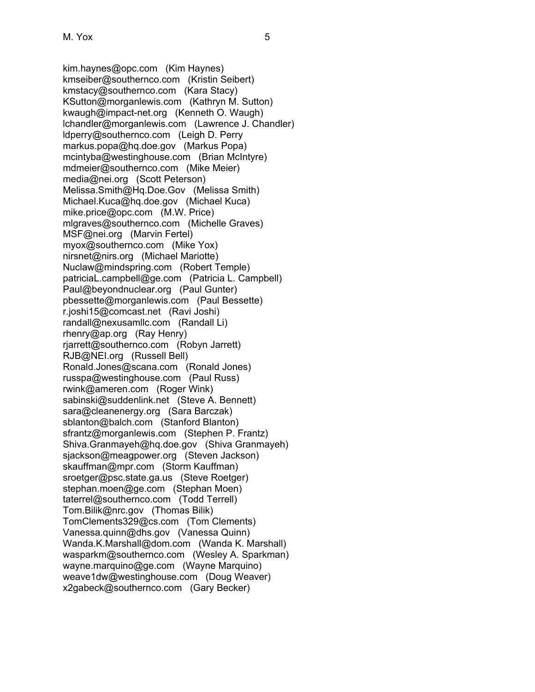kim.haynes@opc.com (Kim Haynes) kmseiber@southernco.com (Kristin Seibert) kmstacy@southernco.com (Kara Stacy) KSutton@morganlewis.com (Kathryn M. Sutton) kwaugh@impact-net.org (Kenneth O. Waugh) lchandler@morganlewis.com (Lawrence J. Chandler) ldperry@southernco.com (Leigh D. Perry markus.popa@hq.doe.gov (Markus Popa) mcintyba@westinghouse.com (Brian McIntyre) mdmeier@southernco.com (Mike Meier) media@nei.org (Scott Peterson) Melissa.Smith@Hq.Doe.Gov (Melissa Smith) Michael.Kuca@hq.doe.gov (Michael Kuca) mike.price@opc.com (M.W. Price) mlgraves@southernco.com (Michelle Graves) MSF@nei.org (Marvin Fertel) myox@southernco.com (Mike Yox) nirsnet@nirs.org (Michael Mariotte) Nuclaw@mindspring.com (Robert Temple) patriciaL.campbell@ge.com (Patricia L. Campbell) Paul@beyondnuclear.org (Paul Gunter) pbessette@morganlewis.com (Paul Bessette) r.joshi15@comcast.net (Ravi Joshi) randall@nexusamllc.com (Randall Li) rhenry@ap.org (Ray Henry) rjarrett@southernco.com (Robyn Jarrett) RJB@NEI.org (Russell Bell) Ronald.Jones@scana.com (Ronald Jones) russpa@westinghouse.com (Paul Russ) rwink@ameren.com (Roger Wink) sabinski@suddenlink.net (Steve A. Bennett) sara@cleanenergy.org (Sara Barczak) sblanton@balch.com (Stanford Blanton) sfrantz@morganlewis.com (Stephen P. Frantz) Shiva.Granmayeh@hq.doe.gov (Shiva Granmayeh) sjackson@meagpower.org (Steven Jackson) skauffman@mpr.com (Storm Kauffman) sroetger@psc.state.ga.us (Steve Roetger) stephan.moen@ge.com (Stephan Moen) taterrel@southernco.com (Todd Terrell) Tom.Bilik@nrc.gov (Thomas Bilik) TomClements329@cs.com (Tom Clements) Vanessa.quinn@dhs.gov (Vanessa Quinn) Wanda.K.Marshall@dom.com (Wanda K. Marshall) wasparkm@southernco.com (Wesley A. Sparkman) wayne.marquino@ge.com (Wayne Marquino) weave1dw@westinghouse.com (Doug Weaver) x2gabeck@southernco.com (Gary Becker)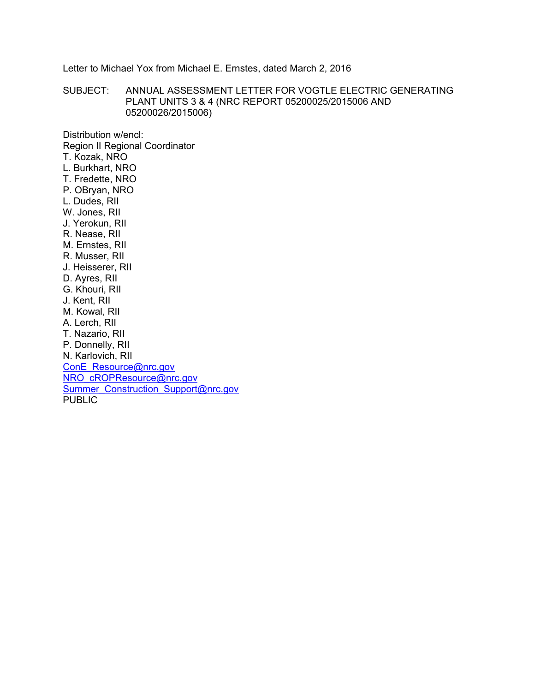Letter to Michael Yox from Michael E. Ernstes, dated March 2, 2016

SUBJECT: ANNUAL ASSESSMENT LETTER FOR VOGTLE ELECTRIC GENERATING PLANT UNITS 3 & 4 (NRC REPORT 05200025/2015006 AND 05200026/2015006)

Distribution w/encl: Region II Regional Coordinator T. Kozak, NRO L. Burkhart, NRO T. Fredette, NRO P. OBryan, NRO L. Dudes, RII W. Jones, RII J. Yerokun, RII R. Nease, RII M. Ernstes, RII R. Musser, RII J. Heisserer, RII D. Ayres, RII G. Khouri, RII J. Kent, RII M. Kowal, RII A. Lerch, RII T. Nazario, RII P. Donnelly, RII N. Karlovich, RII ConE\_Resource@nrc.gov NRO\_cROPResource@nrc.gov Summer\_Construction\_Support@nrc.gov PUBLIC